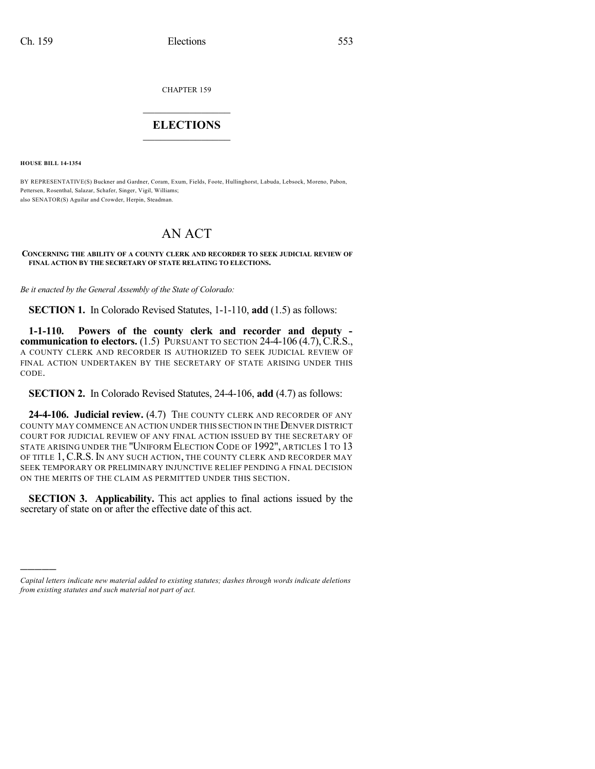CHAPTER 159

## $\mathcal{L}_\text{max}$  . The set of the set of the set of the set of the set of the set of the set of the set of the set of the set of the set of the set of the set of the set of the set of the set of the set of the set of the set **ELECTIONS**  $\_$

**HOUSE BILL 14-1354**

)))))

BY REPRESENTATIVE(S) Buckner and Gardner, Coram, Exum, Fields, Foote, Hullinghorst, Labuda, Lebsock, Moreno, Pabon, Pettersen, Rosenthal, Salazar, Schafer, Singer, Vigil, Williams; also SENATOR(S) Aguilar and Crowder, Herpin, Steadman.

## AN ACT

## **CONCERNING THE ABILITY OF A COUNTY CLERK AND RECORDER TO SEEK JUDICIAL REVIEW OF FINAL ACTION BY THE SECRETARY OF STATE RELATING TO ELECTIONS.**

*Be it enacted by the General Assembly of the State of Colorado:*

**SECTION 1.** In Colorado Revised Statutes, 1-1-110, **add** (1.5) as follows:

**1-1-110. Powers of the county clerk and recorder and deputy communication to electors.** (1.5) PURSUANT TO SECTION 24-4-106 (4.7), C.R.S., A COUNTY CLERK AND RECORDER IS AUTHORIZED TO SEEK JUDICIAL REVIEW OF FINAL ACTION UNDERTAKEN BY THE SECRETARY OF STATE ARISING UNDER THIS CODE.

**SECTION 2.** In Colorado Revised Statutes, 24-4-106, **add** (4.7) as follows:

**24-4-106. Judicial review.** (4.7) THE COUNTY CLERK AND RECORDER OF ANY COUNTY MAY COMMENCE AN ACTION UNDER THIS SECTION IN THEDENVER DISTRICT COURT FOR JUDICIAL REVIEW OF ANY FINAL ACTION ISSUED BY THE SECRETARY OF STATE ARISING UNDER THE "UNIFORM ELECTION CODE OF 1992", ARTICLES 1 TO 13 OF TITLE 1, C.R.S. IN ANY SUCH ACTION, THE COUNTY CLERK AND RECORDER MAY SEEK TEMPORARY OR PRELIMINARY INJUNCTIVE RELIEF PENDING A FINAL DECISION ON THE MERITS OF THE CLAIM AS PERMITTED UNDER THIS SECTION.

**SECTION 3. Applicability.** This act applies to final actions issued by the secretary of state on or after the effective date of this act.

*Capital letters indicate new material added to existing statutes; dashes through words indicate deletions from existing statutes and such material not part of act.*